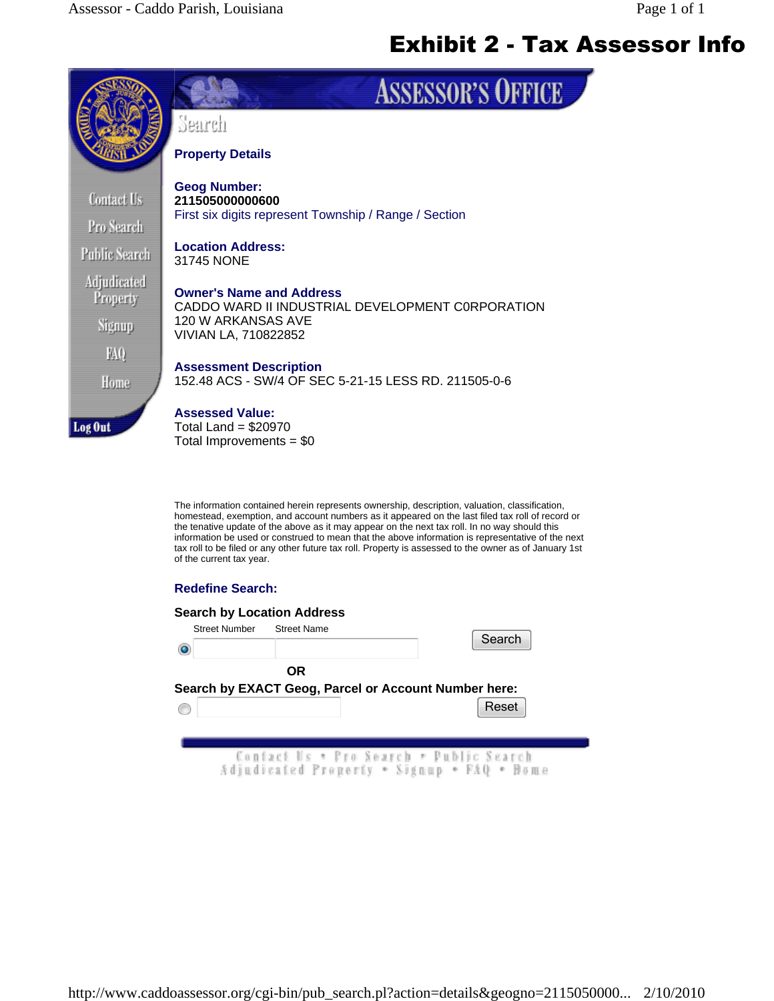

## **Redefine Search:**

| <b>Street Number</b> | <b>Search by Location Address</b><br><b>Street Name</b>                               | Search |
|----------------------|---------------------------------------------------------------------------------------|--------|
|                      | <b>OR</b><br>Search by EXACT Geog, Parcel or Account Number here:                     |        |
|                      |                                                                                       | Reset  |
|                      | Contact Us * Pro Search * Public Search<br>Adjudicated Property . Signup . FAQ . Bome |        |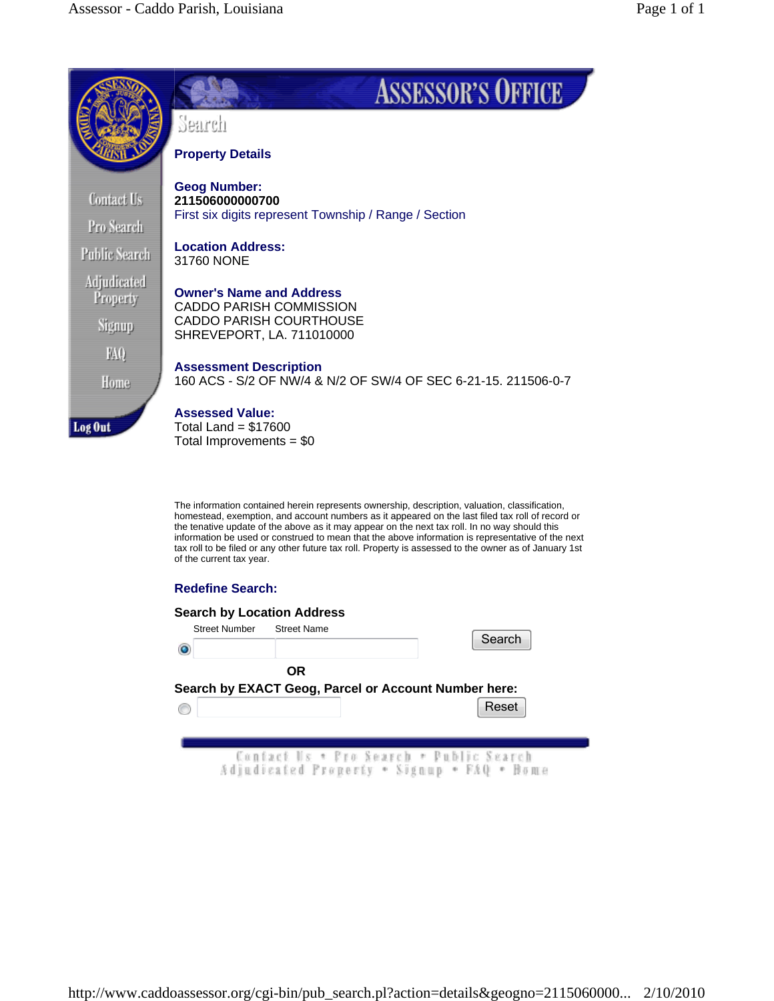

## **Redefine Search:**

| <b>Search by Location Address</b><br><b>Street Number</b><br><b>Street Name</b>       | Search |
|---------------------------------------------------------------------------------------|--------|
| <b>OR</b><br>Search by EXACT Geog, Parcel or Account Number here:                     |        |
|                                                                                       | Reset  |
| Contact Us * Pro Search * Public Search<br>Adjudicated Property . Signup . FAQ . Bome |        |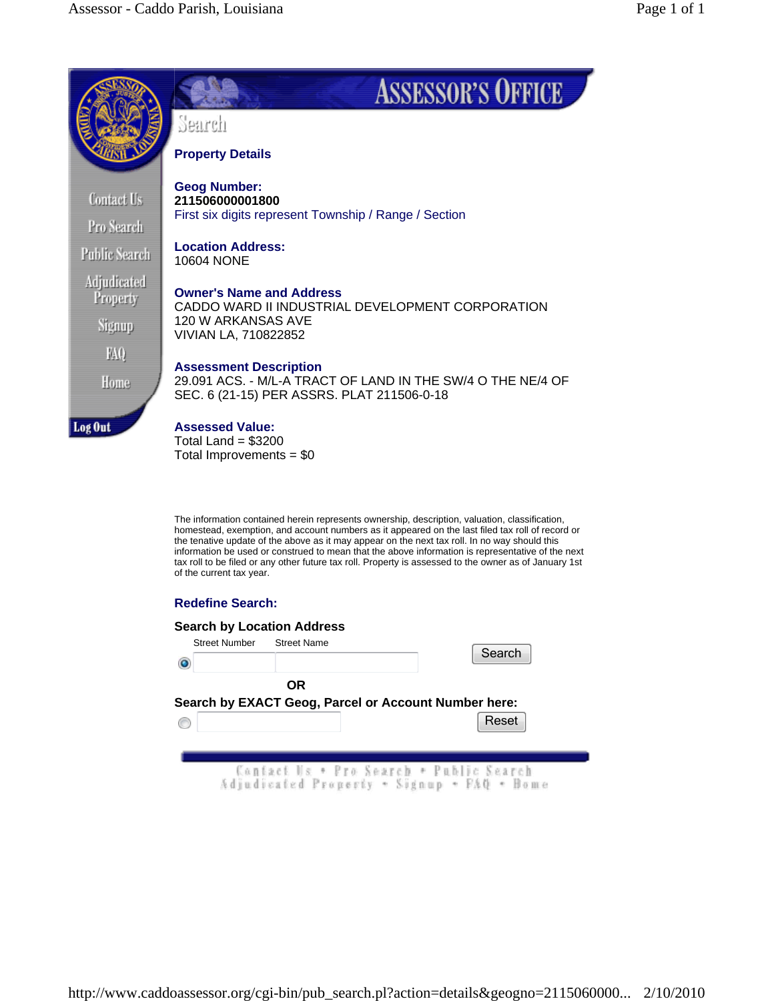

# **Redefine Search:**

#### **Search by Location Address**

| <b>Street Number</b> | <b>Street Name</b> | Search                                                                                |
|----------------------|--------------------|---------------------------------------------------------------------------------------|
|                      | OR                 |                                                                                       |
|                      |                    | Search by EXACT Geog, Parcel or Account Number here:<br>Reset                         |
|                      |                    |                                                                                       |
|                      |                    | Contact Us + Pro Search + Public Search<br>Adjudicated Property . Signup . FAQ . Bome |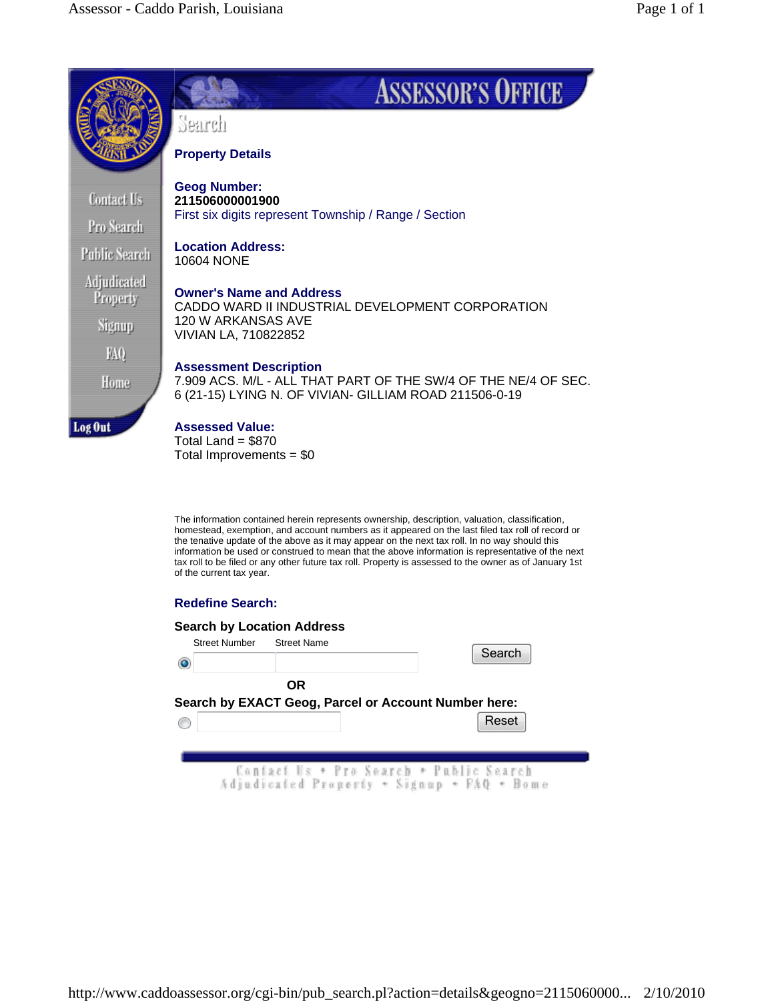

# **Redefine Search:**

## **Search by Location Address**

| <b>Street Number</b> | <b>Street Name</b>                                                                    |  | Search |
|----------------------|---------------------------------------------------------------------------------------|--|--------|
|                      | <b>OR</b>                                                                             |  |        |
|                      | Search by EXACT Geog, Parcel or Account Number here:                                  |  | Reset  |
|                      |                                                                                       |  |        |
|                      | Contact Us + Pro Search + Public Search<br>Adjudicated Property . Signup . FAQ . Bome |  |        |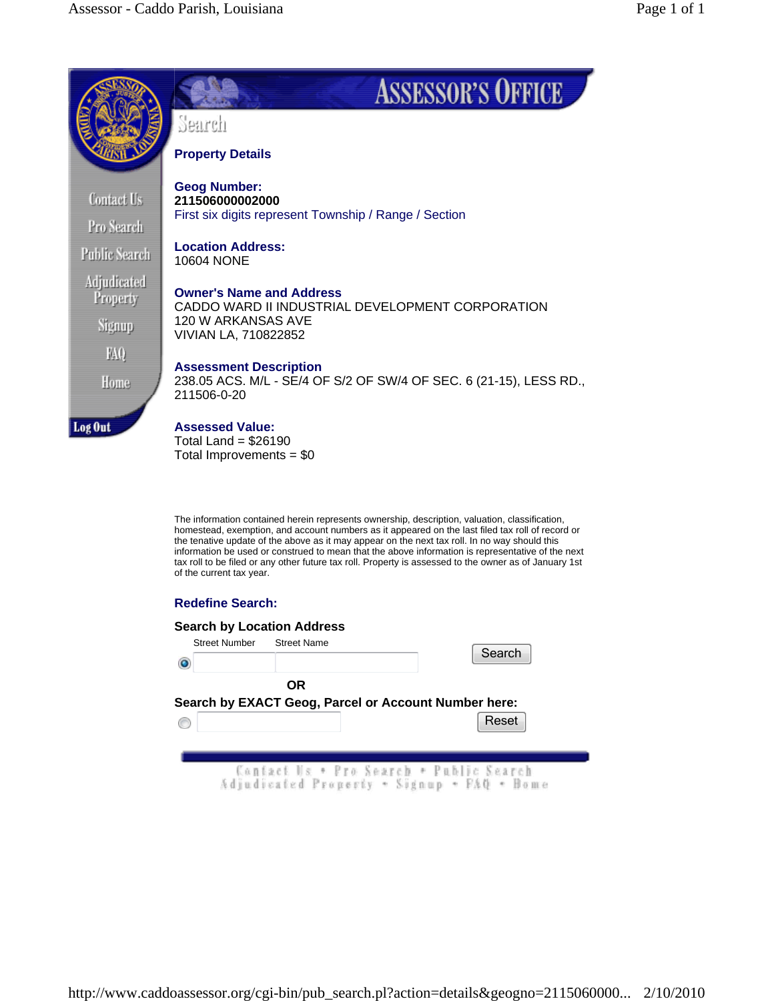

# **Redefine Search:**

#### **Search by Location Address**

| <b>Street Number</b> | <b>Street Name</b> | Search                                                                                |  |
|----------------------|--------------------|---------------------------------------------------------------------------------------|--|
|                      | <b>OR</b>          |                                                                                       |  |
|                      |                    | Search by EXACT Geog, Parcel or Account Number here:<br>Reset                         |  |
|                      |                    |                                                                                       |  |
|                      |                    | Contact Us + Pro Search + Public Search<br>Adjudicated Property . Signup . FAQ . Bome |  |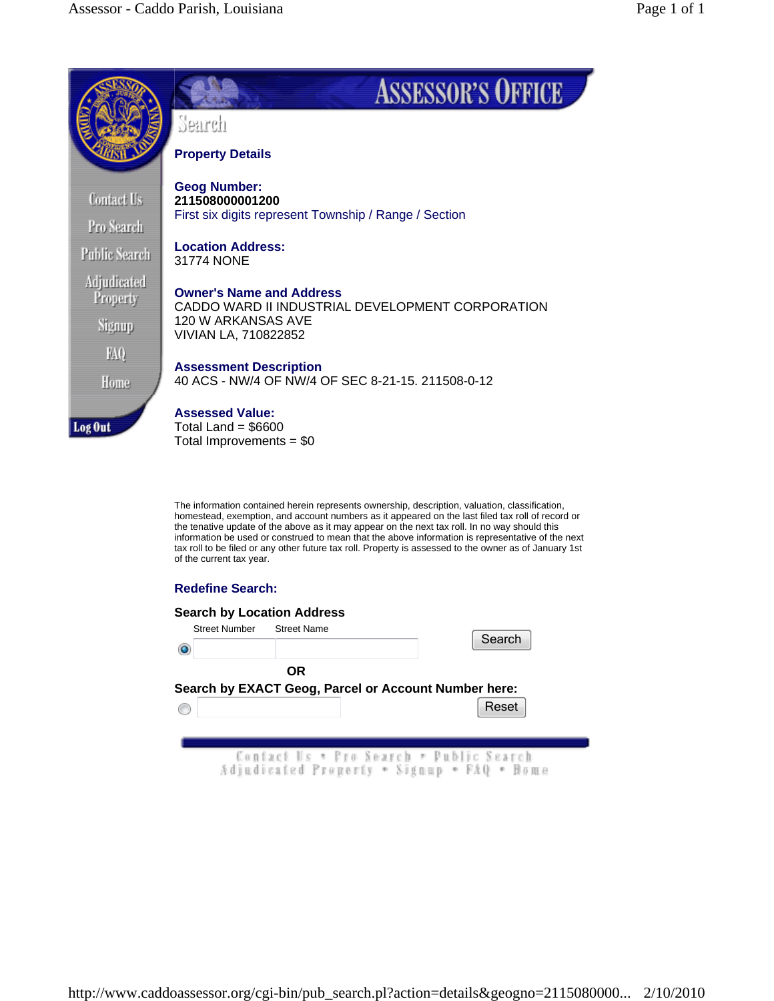

## **Redefine Search:**

| <b>Street Number</b> | <b>Search by Location Address</b><br><b>Street Name</b>                               | Search |
|----------------------|---------------------------------------------------------------------------------------|--------|
|                      | OR<br>Search by EXACT Geog, Parcel or Account Number here:                            | Reset  |
|                      | Contact Us * Pro Search * Public Search<br>Adjudicated Property . Signup . FAQ . Bome |        |

http://www.caddoassessor.org/cgi-bin/pub\_search.pl?action=details&geogno=2115080000... 2/10/2010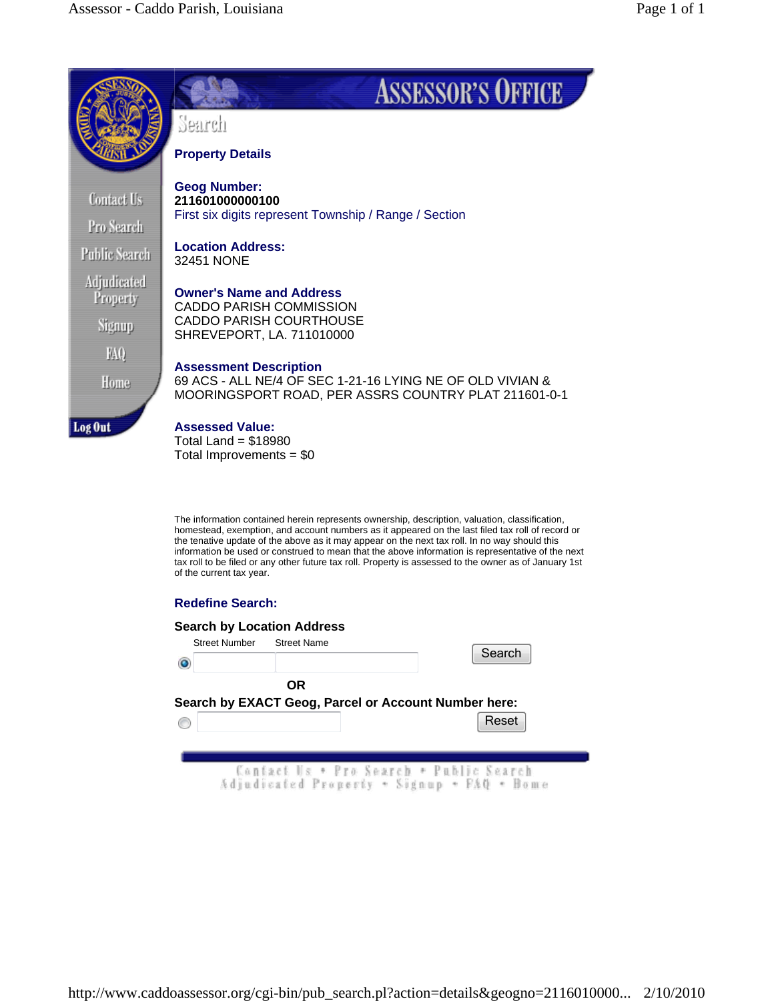

# **Redefine Search:**

## **Search by Location Address**

| <b>Street Number</b> | <b>Street Name</b> |                                                                                       | Search |
|----------------------|--------------------|---------------------------------------------------------------------------------------|--------|
|                      | <b>OR</b>          |                                                                                       |        |
|                      |                    | Search by EXACT Geog, Parcel or Account Number here:                                  |        |
|                      |                    |                                                                                       | Reset  |
|                      |                    |                                                                                       |        |
|                      |                    | Contact Us * Pro Search * Public Search<br>Adjudicated Property * Signup * FAQ * Home |        |

http://www.caddoassessor.org/cgi-bin/pub\_search.pl?action=details&geogno=2116010000... 2/10/2010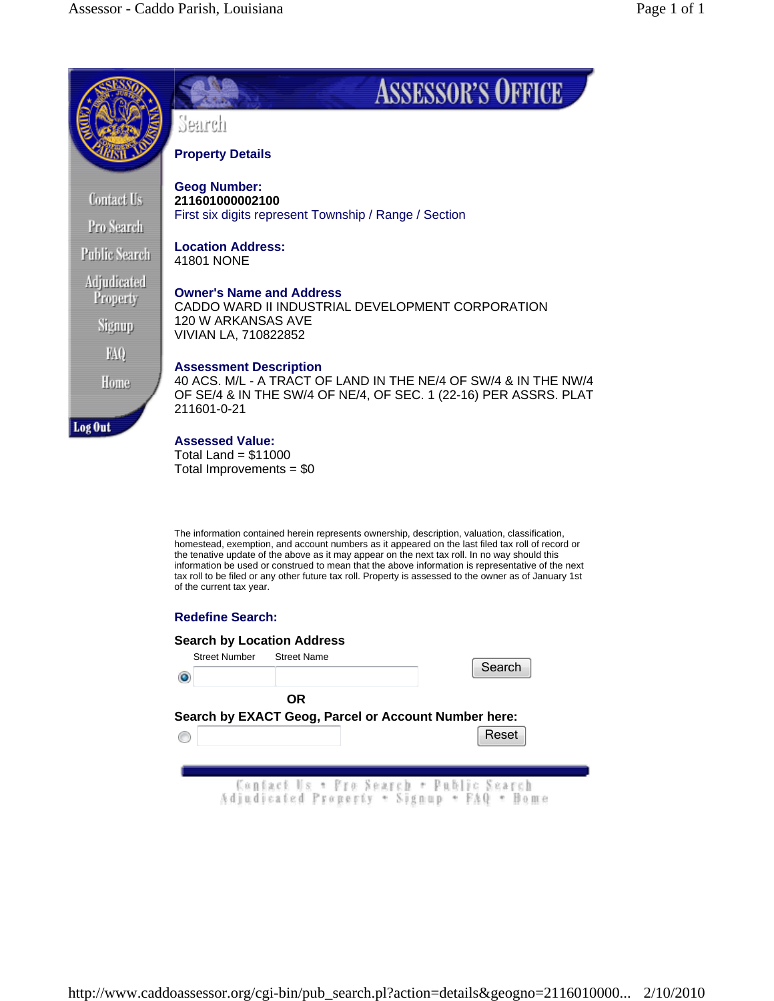

Total Land =  $$11000$ Total Improvements = \$0

The information contained herein represents ownership, description, valuation, classification, homestead, exemption, and account numbers as it appeared on the last filed tax roll of record or the tenative update of the above as it may appear on the next tax roll. In no way should this information be used or construed to mean that the above information is representative of the next tax roll to be filed or any other future tax roll. Property is assessed to the owner as of January 1st of the current tax year.

## **Redefine Search:**

| <b>Street Number</b> | <b>Street Name</b>                                   |  | Search                                                                                  |
|----------------------|------------------------------------------------------|--|-----------------------------------------------------------------------------------------|
|                      | <b>OR</b>                                            |  |                                                                                         |
|                      | Search by EXACT Geog, Parcel or Account Number here: |  | Reset                                                                                   |
|                      |                                                      |  |                                                                                         |
|                      |                                                      |  | - Contact Us * Pro Search * Public Search<br>Adjudicated Property * Signup * FAQ * Home |